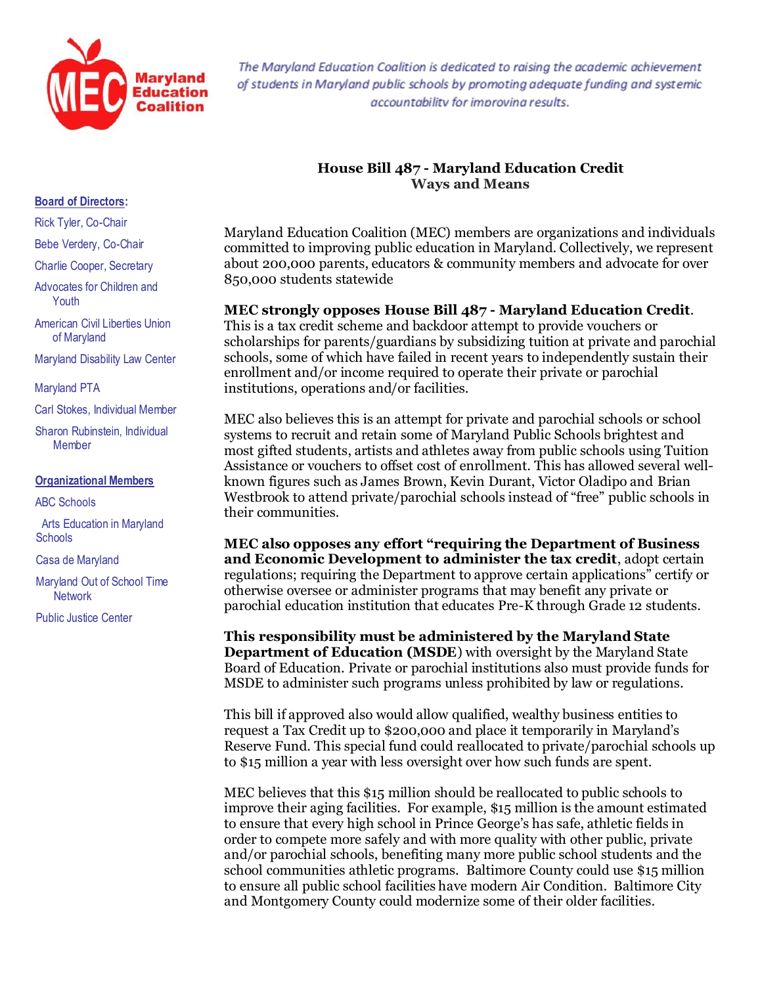

The Maryland Education Coalition is dedicated to raising the academic achievement of students in Maryland public schools by promoting adequate funding and systemic accountability for improvina results.

## **House Bill 487 - Maryland Education Credit Ways and Means**

Maryland Education Coalition (MEC) members are organizations and individuals committed to improving public education in Maryland. Collectively, we represent about 200,000 parents, educators & community members and advocate for over 850,000 students statewide

## **MEC strongly opposes House Bill 487 - Maryland Education Credit**.

This is a tax credit scheme and backdoor attempt to provide vouchers or scholarships for parents/guardians by subsidizing tuition at private and parochial schools, some of which have failed in recent years to independently sustain their enrollment and/or income required to operate their private or parochial institutions, operations and/or facilities.

MEC also believes this is an attempt for private and parochial schools or school systems to recruit and retain some of Maryland Public Schools brightest and most gifted students, artists and athletes away from public schools using Tuition Assistance or vouchers to offset cost of enrollment. This has allowed several wellknown figures such as James Brown, Kevin Durant, Victor Oladipo an[d Brian](http://www.ask.com/wiki/Brian_Westbrook?qsrc=3044)  [Westbrook](http://www.ask.com/wiki/Brian_Westbrook?qsrc=3044) to attend private/parochial schools instead of "free" public schools in their communities.

**MEC also opposes any effort "requiring the Department of Business and Economic Development to administer the tax credit**, adopt certain regulations; requiring the Department to approve certain applications" certify or otherwise oversee or administer programs that may benefit any private or parochial education institution that educates Pre-K through Grade 12 students.

**This responsibility must be administered by the Maryland State Department of Education (MSDE**) with oversight by the Maryland State Board of Education. Private or parochial institutions also must provide funds for MSDE to administer such programs unless prohibited by law or regulations.

This bill if approved also would allow qualified, wealthy business entities to request a Tax Credit up to \$200,000 and place it temporarily in Maryland's Reserve Fund. This special fund could reallocated to private/parochial schools up to \$15 million a year with less oversight over how such funds are spent.

MEC believes that this \$15 million should be reallocated to public schools to improve their aging facilities. For example, \$15 million is the amount estimated to ensure that every high school in Prince George's has safe, athletic fields in order to compete more safely and with more quality with other public, private and/or parochial schools, benefiting many more public school students and the school communities athletic programs. Baltimore County could use \$15 million to ensure all public school facilities have modern Air Condition. Baltimore City and Montgomery County could modernize some of their older facilities.

## **Board of Directors:**

Rick Tyler, Co-Chair

Bebe Verdery, Co-Chair

Charlie Cooper, Secretary

Advocates for Children and Youth

American Civil Liberties Union of Maryland

Maryland Disability Law Center

Maryland PTA

Carl Stokes, Individual Member

Sharon Rubinstein, Individual **Member** 

## **Organizational Members**

ABC Schools

 Arts Education in Maryland **Schools** 

Casa de Maryland

Maryland Out of School Time **Network** 

Public Justice Center